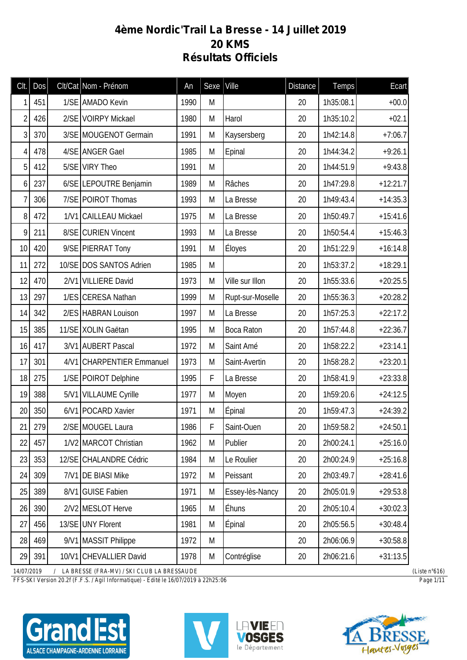## **4ème Nordic'Trail La Bresse - 14 Juillet 2019 20 KMS Résultats Officiels**

| Clt.           | Dos | Clt/Cat Nom - Prénom      | An   | Sexe | Ville             | <b>Distance</b> | Temps     | Ecart      |
|----------------|-----|---------------------------|------|------|-------------------|-----------------|-----------|------------|
| 1              | 451 | 1/SE AMADO Kevin          | 1990 | M    |                   | 20              | 1h35:08.1 | $+00.0$    |
| $\overline{2}$ | 426 | 2/SE VOIRPY Mickael       | 1980 | M    | Harol             | 20              | 1h35:10.2 | $+02.1$    |
| 3              | 370 | 3/SE MOUGENOT Germain     | 1991 | M    | Kaysersberg       | 20              | 1h42:14.8 | $+7:06.7$  |
| 4              | 478 | 4/SE ANGER Gael           | 1985 | M    | Epinal            | 20              | 1h44:34.2 | $+9:26.1$  |
| 5              | 412 | 5/SE VIRY Theo            | 1991 | M    |                   | 20              | 1h44:51.9 | $+9:43.8$  |
| 6              | 237 | 6/SE LEPOUTRE Benjamin    | 1989 | M    | Râches            | 20              | 1h47:29.8 | $+12:21.7$ |
| 7              | 306 | 7/SE POIROT Thomas        | 1993 | M    | La Bresse         | 20              | 1h49:43.4 | $+14:35.3$ |
| 8              | 472 | 1/V1 CAILLEAU Mickael     | 1975 | M    | La Bresse         | 20              | 1h50:49.7 | $+15:41.6$ |
| 9              | 211 | 8/SE CURIEN Vincent       | 1993 | M    | La Bresse         | 20              | 1h50:54.4 | $+15:46.3$ |
| 10             | 420 | 9/SE PIERRAT Tony         | 1991 | M    | Éloyes            | 20              | 1h51:22.9 | $+16:14.8$ |
| 11             | 272 | 10/SE DOS SANTOS Adrien   | 1985 | M    |                   | 20              | 1h53:37.2 | $+18:29.1$ |
| 12             | 470 | 2/V1 VILLIERE David       | 1973 | M    | Ville sur Illon   | 20              | 1h55:33.6 | $+20:25.5$ |
| 13             | 297 | 1/ES CERESA Nathan        | 1999 | M    | Rupt-sur-Moselle  | 20              | 1h55:36.3 | $+20:28.2$ |
| 14             | 342 | 2/ES HABRAN Louison       | 1997 | M    | La Bresse         | 20              | 1h57:25.3 | $+22:17.2$ |
| 15             | 385 | 11/SE XOLIN Gaëtan        | 1995 | M    | <b>Boca Raton</b> | 20              | 1h57:44.8 | $+22:36.7$ |
| 16             | 417 | 3/V1 AUBERT Pascal        | 1972 | M    | Saint Amé         | 20              | 1h58:22.2 | $+23:14.1$ |
| 17             | 301 | 4/V1 CHARPENTIER Emmanuel | 1973 | M    | Saint-Avertin     | 20              | 1h58:28.2 | $+23:20.1$ |
| 18             | 275 | 1/SE POIROT Delphine      | 1995 | F    | La Bresse         | 20              | 1h58:41.9 | $+23:33.8$ |
| 19             | 388 | 5/V1 VILLAUME Cyrille     | 1977 | M    | Moyen             | 20              | 1h59:20.6 | $+24:12.5$ |
| 20             | 350 | 6/V1   POCARD Xavier      | 1971 | M    | Epinal            | 20              | 1h59:47.3 | $+24:39.2$ |
| 21             | 279 | 2/SE MOUGEL Laura         | 1986 | F    | Saint-Ouen        | 20              | 1h59:58.2 | $+24:50.1$ |
| 22             | 457 | 1/V2 MARCOT Christian     | 1962 | M    | Publier           | 20              | 2h00:24.1 | $+25:16.0$ |
| 23             | 353 | 12/SE CHALANDRE Cédric    | 1984 | M    | Le Roulier        | 20              | 2h00:24.9 | $+25:16.8$ |
| 24             | 309 | 7/V1 DE BIASI Mike        | 1972 | M    | Peissant          | 20              | 2h03:49.7 | $+28:41.6$ |
| 25             | 389 | 8/V1 GUISE Fabien         | 1971 | M    | Essey-lès-Nancy   | 20              | 2h05:01.9 | $+29:53.8$ |
| 26             | 390 | 2/V2 MESLOT Herve         | 1965 | M    | Éhuns             | 20              | 2h05:10.4 | $+30:02.3$ |
| 27             | 456 | 13/SE UNY Florent         | 1981 | M    | Epinal            | 20              | 2h05:56.5 | $+30:48.4$ |
| 28             | 469 | 9/V1 MASSIT Philippe      | 1972 | M    |                   | 20              | 2h06:06.9 | $+30:58.8$ |
| 29             | 391 | 10/V1 CHEVALLIER David    | 1978 | M    | Contréglise       | 20              | 2h06:21.6 | $+31:13.5$ |

*14/07/2019 / LA BRESSE (FRA-MV) / SKI CLUB LA BRESSAUDE (Liste n°616)*

*FFS-SKI Version 20.2f (F.F.S. / Agil Informatique) - Edité le 16/07/2019 à 22h25:06 Page 1/11*

ALSACE CHAMPAGNE-ARDENNE LORRAINE





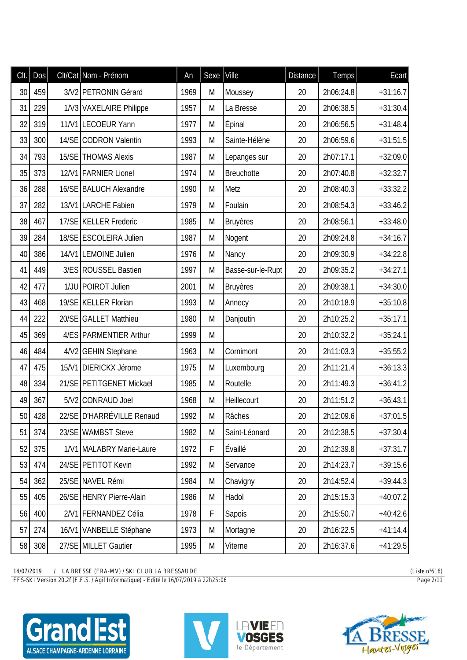| Clt. | <b>Dos</b> |       | Clt/Cat Nom - Prénom      | An   | Sexe   Ville |                   | <b>Distance</b> | <b>Temps</b> | Ecart      |
|------|------------|-------|---------------------------|------|--------------|-------------------|-----------------|--------------|------------|
| 30   | 459        |       | 3/V2 PETRONIN Gérard      | 1969 | M            | Moussey           | 20              | 2h06:24.8    | $+31:16.7$ |
| 31   | 229        |       | 1/V3 VAXELAIRE Philippe   | 1957 | M            | La Bresse         | 20              | 2h06:38.5    | $+31:30.4$ |
| 32   | 319        |       | 11/V1 LECOEUR Yann        | 1977 | M            | Épinal            | 20              | 2h06:56.5    | $+31:48.4$ |
| 33   | 300        |       | 14/SE CODRON Valentin     | 1993 | M            | Sainte-Hélène     | 20              | 2h06:59.6    | $+31:51.5$ |
| 34   | 793        | 15/SE | <b>THOMAS Alexis</b>      | 1987 | M            | Lepanges sur      | 20              | 2h07:17.1    | $+32:09.0$ |
| 35   | 373        |       | 12/V1 FARNIER Lionel      | 1974 | M            | <b>Breuchotte</b> | 20              | 2h07:40.8    | $+32:32.7$ |
| 36   | 288        |       | 16/SE BALUCH Alexandre    | 1990 | M            | Metz              | 20              | 2h08:40.3    | $+33:32.2$ |
| 37   | 282        |       | 13/V1 LARCHE Fabien       | 1979 | M            | Foulain           | 20              | 2h08:54.3    | $+33:46.2$ |
| 38   | 467        |       | 17/SE KELLER Frederic     | 1985 | M            | <b>Bruyères</b>   | 20              | 2h08:56.1    | $+33:48.0$ |
| 39   | 284        |       | 18/SE ESCOLEIRA Julien    | 1987 | M            | Nogent            | 20              | 2h09:24.8    | $+34:16.7$ |
| 40   | 386        |       | 14/V1 LEMOINE Julien      | 1976 | M            | Nancy             | 20              | 2h09:30.9    | $+34:22.8$ |
| 41   | 449        |       | 3/ES ROUSSEL Bastien      | 1997 | M            | Basse-sur-le-Rupt | 20              | 2h09:35.2    | $+34:27.1$ |
| 42   | 477        |       | 1/JU POIROT Julien        | 2001 | M            | <b>Bruyères</b>   | 20              | 2h09:38.1    | $+34:30.0$ |
| 43   | 468        |       | 19/SE KELLER Florian      | 1993 | M            | Annecy            | 20              | 2h10:18.9    | $+35:10.8$ |
| 44   | 222        |       | 20/SE GALLET Matthieu     | 1980 | M            | Danjoutin         | 20              | 2h10:25.2    | $+35:17.1$ |
| 45   | 369        |       | 4/ES PARMENTIER Arthur    | 1999 | M            |                   | 20              | 2h10:32.2    | $+35:24.1$ |
| 46   | 484        |       | 4/V2 GEHIN Stephane       | 1963 | M            | Cornimont         | 20              | 2h11:03.3    | $+35:55.2$ |
| 47   | 475        |       | 15/V1 DIERICKX Jérome     | 1975 | M            | Luxembourg        | 20              | 2h11:21.4    | $+36:13.3$ |
| 48   | 334        |       | 21/SE PETITGENET Mickael  | 1985 | M            | Routelle          | 20              | 2h11:49.3    | $+36:41.2$ |
| 49   | 367        |       | 5/V2 CONRAUD Joel         | 1968 | M            | Heillecourt       | 20              | 2h11:51.2    | $+36:43.1$ |
| 50   | 428        |       | 22/SE D'HARRÉVILLE Renaud | 1992 | М            | Râches            | 20              | 2h12:09.6    | $+37:01.5$ |
| 51   | 374        |       | 23/SE WAMBST Steve        | 1982 | M            | Saint-Léonard     | 20              | 2h12:38.5    | $+37:30.4$ |
| 52   | 375        |       | 1/V1 MALABRY Marie-Laure  | 1972 | F            | Évaillé           | 20              | 2h12:39.8    | $+37:31.7$ |
| 53   | 474        |       | 24/SE PETITOT Kevin       | 1992 | M            | Servance          | 20              | 2h14:23.7    | $+39:15.6$ |
| 54   | 362        |       | 25/SE NAVEL Rémi          | 1984 | M            | Chavigny          | 20              | 2h14:52.4    | $+39:44.3$ |
| 55   | 405        |       | 26/SE HENRY Pierre-Alain  | 1986 | M            | Hadol             | 20              | 2h15:15.3    | $+40:07.2$ |
| 56   | 400        |       | 2/V1 FERNANDEZ Célia      | 1978 | F            | Sapois            | 20              | 2h15:50.7    | $+40:42.6$ |
| 57   | 274        |       | 16/V1 VANBELLE Stéphane   | 1973 | M            | Mortagne          | 20              | 2h16:22.5    | $+41:14.4$ |
| 58   | 308        |       | 27/SE MILLET Gautier      | 1995 | M            | Viterne           | 20              | 2h16:37.6    | $+41:29.5$ |

*FFS-SKI Version 20.2f (F.F.S. / Agil Informatique) - Edité le 16/07/2019 à 22h25:06 Page 2/11*





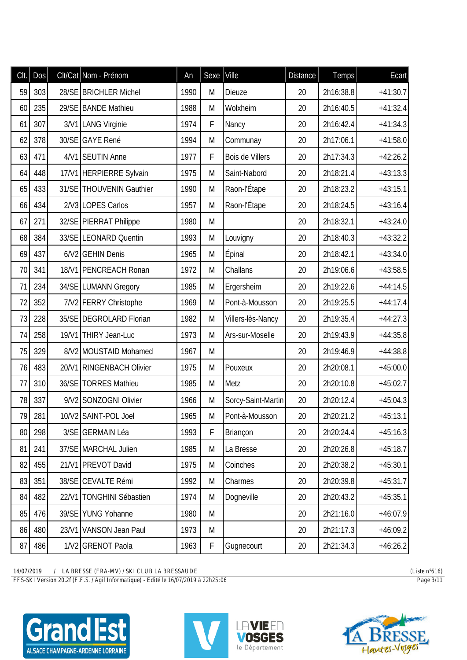| Clt. | Dos | Clt/Cat Nom - Prénom     | An   | Sexe | Ville              | <b>Distance</b> | Temps     | <b>Ecart</b> |
|------|-----|--------------------------|------|------|--------------------|-----------------|-----------|--------------|
| 59   | 303 | 28/SE BRICHLER Michel    | 1990 | M    | Dieuze             | 20              | 2h16:38.8 | $+41:30.7$   |
| 60   | 235 | 29/SE BANDE Mathieu      | 1988 | M    | Wolxheim           | 20              | 2h16:40.5 | $+41:32.4$   |
| 61   | 307 | 3/V1 LANG Virginie       | 1974 | F    | Nancy              | 20              | 2h16:42.4 | $+41:34.3$   |
| 62   | 378 | 30/SE GAYE René          | 1994 | M    | Communay           | 20              | 2h17:06.1 | $+41:58.0$   |
| 63   | 471 | 4/V1 SEUTIN Anne         | 1977 | F    | Bois de Villers    | 20              | 2h17:34.3 | $+42:26.2$   |
| 64   | 448 | 17/V1 HERPIERRE Sylvain  | 1975 | M    | Saint-Nabord       | 20              | 2h18:21.4 | $+43:13.3$   |
| 65   | 433 | 31/SE THOUVENIN Gauthier | 1990 | M    | Raon-l'Étape       | 20              | 2h18:23.2 | $+43:15.1$   |
| 66   | 434 | 2/V3 LOPES Carlos        | 1957 | M    | Raon-l'Étape       | 20              | 2h18:24.5 | $+43:16.4$   |
| 67   | 271 | 32/SE PIERRAT Philippe   | 1980 | M    |                    | 20              | 2h18:32.1 | $+43:24.0$   |
| 68   | 384 | 33/SE LEONARD Quentin    | 1993 | M    | Louvigny           | 20              | 2h18:40.3 | $+43:32.2$   |
| 69   | 437 | 6/V2 GEHIN Denis         | 1965 | M    | <b>Épinal</b>      | 20              | 2h18:42.1 | $+43:34.0$   |
| 70   | 341 | 18/V1 PENCREACH Ronan    | 1972 | M    | Challans           | 20              | 2h19:06.6 | $+43:58.5$   |
| 71   | 234 | 34/SE LUMANN Gregory     | 1985 | M    | Ergersheim         | 20              | 2h19:22.6 | $+44:14.5$   |
| 72   | 352 | 7/V2 FERRY Christophe    | 1969 | M    | Pont-à-Mousson     | 20              | 2h19:25.5 | $+44:17.4$   |
| 73   | 228 | 35/SE DEGROLARD Florian  | 1982 | M    | Villers-lès-Nancy  | 20              | 2h19:35.4 | $+44:27.3$   |
| 74   | 258 | 19/V1 THIRY Jean-Luc     | 1973 | M    | Ars-sur-Moselle    | 20              | 2h19:43.9 | $+44:35.8$   |
| 75   | 329 | 8/V2 MOUSTAID Mohamed    | 1967 | M    |                    | 20              | 2h19:46.9 | $+44:38.8$   |
| 76   | 483 | 20/V1 RINGENBACH Olivier | 1975 | M    | Pouxeux            | 20              | 2h20:08.1 | $+45:00.0$   |
| 77   | 310 | 36/SE TORRES Mathieu     | 1985 | M    | Metz               | 20              | 2h20:10.8 | $+45:02.7$   |
| 78   | 337 | 9/V2 SONZOGNI Olivier    | 1966 | M    | Sorcy-Saint-Martin | 20              | 2h20:12.4 | $+45:04.3$   |
| 79   | 281 | 10/V2 SAINT-POL Joel     | 1965 | M    | Pont-à-Mousson     | 20              | 2h20:21.2 | $+45:13.1$   |
| 80   | 298 | 3/SE GERMAIN Léa         | 1993 | F    | Briançon           | 20              | 2h20:24.4 | $+45:16.3$   |
| 81   | 241 | 37/SE MARCHAL Julien     | 1985 | M    | La Bresse          | 20              | 2h20:26.8 | $+45:18.7$   |
| 82   | 455 | 21/V1 PREVOT David       | 1975 | M    | Coinches           | 20              | 2h20:38.2 | $+45:30.1$   |
| 83   | 351 | 38/SE CEVALTE Rémi       | 1992 | M    | Charmes            | 20              | 2h20:39.8 | $+45:31.7$   |
| 84   | 482 | 22/V1 TONGHINI Sébastien | 1974 | M    | Dogneville         | 20              | 2h20:43.2 | $+45:35.1$   |
| 85   | 476 | 39/SE YUNG Yohanne       | 1980 | M    |                    | 20              | 2h21:16.0 | $+46:07.9$   |
| 86   | 480 | 23/V1 VANSON Jean Paul   | 1973 | M    |                    | 20              | 2h21:17.3 | $+46:09.2$   |
| 87   | 486 | 1/V2 GRENOT Paola        | 1963 | F    | Gugnecourt         | 20              | 2h21:34.3 | $+46:26.2$   |

*FFS-SKI Version 20.2f (F.F.S. / Agil Informatique) - Edité le 16/07/2019 à 22h25:06 Page 3/11*





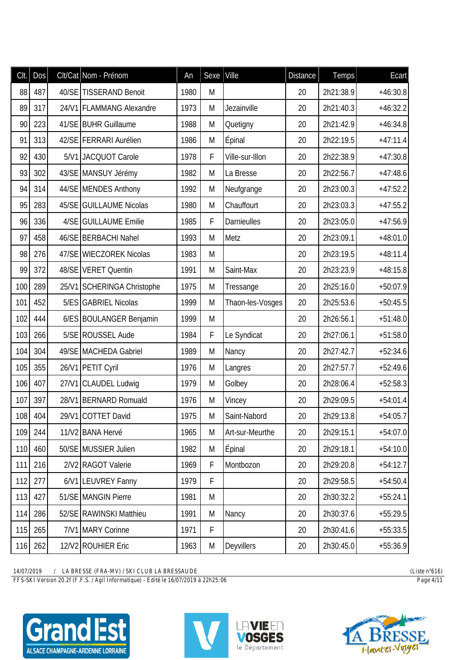| CIt. | <b>Dos</b> | Clt/Cat Nom - Prénom       | An   | Sexe   Ville |                  | <b>Distance</b> | <b>Temps</b> | Ecart      |
|------|------------|----------------------------|------|--------------|------------------|-----------------|--------------|------------|
| 88   | 487        | 40/SE TISSERAND Benoit     | 1980 | M            |                  | 20              | 2h21:38.9    | $+46:30.8$ |
| 89   | 317        | 24/V1 FLAMMANG Alexandre   | 1973 | M            | Jezainville      | 20              | 2h21:40.3    | $+46:32.2$ |
| 90   | 223        | 41/SE BUHR Guillaume       | 1988 | M            | Quetigny         | 20              | 2h21:42.9    | $+46:34.8$ |
| 91   | 313        | 42/SE FERRARI Aurélien     | 1986 | M            | Épinal           | 20              | 2h22:19.5    | $+47:11.4$ |
| 92   | 430        | 5/V1 JACQUOT Carole        | 1978 | F            | Ville-sur-Illon  | 20              | 2h22:38.9    | $+47:30.8$ |
| 93   | 302        | 43/SE MANSUY Jérémy        | 1982 | M            | La Bresse        | 20              | 2h22:56.7    | $+47:48.6$ |
| 94   | 314        | 44/SE MENDES Anthony       | 1992 | M            | Neufgrange       | 20              | 2h23:00.3    | $+47:52.2$ |
| 95   | 283        | 45/SE GUILLAUME Nicolas    | 1980 | M            | Chauffourt       | 20              | 2h23:03.3    | $+47:55.2$ |
| 96   | 336        | 4/SE GUILLAUME Emilie      | 1985 | F            | Darnieulles      | 20              | 2h23:05.0    | $+47:56.9$ |
| 97   | 458        | 46/SE BERBACHI Nahel       | 1993 | M            | Metz             | 20              | 2h23:09.1    | $+48:01.0$ |
| 98   | 276        | 47/SE WIECZOREK Nicolas    | 1983 | M            |                  | 20              | 2h23:19.5    | $+48:11.4$ |
| 99   | 372        | 48/SE VERET Quentin        | 1991 | M            | Saint-Max        | 20              | 2h23:23.9    | $+48:15.8$ |
| 100  | 289        | 25/V1 SCHERINGA Christophe | 1975 | M            | Tressange        | 20              | 2h25:16.0    | $+50:07.9$ |
| 101  | 452        | 5/ES GABRIEL Nicolas       | 1999 | M            | Thaon-les-Vosges | 20              | 2h25:53.6    | $+50:45.5$ |
| 102  | 444        | 6/ES BOULANGER Benjamin    | 1999 | M            |                  | 20              | 2h26:56.1    | $+51:48.0$ |
| 103  | 266        | 5/SE ROUSSEL Aude          | 1984 | F            | Le Syndicat      | 20              | 2h27:06.1    | $+51:58.0$ |
| 104  | 304        | 49/SE MACHEDA Gabriel      | 1989 | M            | Nancy            | 20              | 2h27:42.7    | $+52:34.6$ |
| 105  | 355        | 26/V1 PETIT Cyril          | 1976 | M            | Langres          | 20              | 2h27:57.7    | $+52:49.6$ |
| 106  | 407        | 27/V1 CLAUDEL Ludwig       | 1979 | M            | Golbey           | 20              | 2h28:06.4    | $+52:58.3$ |
| 107  | 397        | 28/V1 BERNARD Romuald      | 1976 | M            | Vincey           | 20              | 2h29:09.5    | $+54:01.4$ |
| 108  | 404        | 29/V1 COTTET David         | 1975 | Μ            | Saint-Nabord     | 20              | 2h29:13.8    | $+54:05.7$ |
| 109  | 244        | 11/V2 BANA Hervé           | 1965 | M            | Art-sur-Meurthe  | 20              | 2h29:15.1    | $+54:07.0$ |
| 110  | 460        | 50/SE MUSSIER Julien       | 1982 | M            | Épinal           | 20              | 2h29:18.1    | $+54:10.0$ |
| 111  | 216        | 2/V2 RAGOT Valerie         | 1969 | F            | Montbozon        | 20              | 2h29:20.8    | $+54:12.7$ |
| 112  | 277        | 6/V1 LEUVREY Fanny         | 1979 | F            |                  | 20              | 2h29:58.5    | $+54:50.4$ |
| 113  | 427        | 51/SE MANGIN Pierre        | 1981 | M            |                  | 20              | 2h30:32.2    | $+55:24.1$ |
| 114  | 286        | 52/SE RAWINSKI Matthieu    | 1991 | M            | Nancy            | 20              | 2h30:37.6    | $+55:29.5$ |
| 115  | 265        | 7/V1 MARY Corinne          | 1971 | F            |                  | 20              | 2h30:41.6    | $+55:33.5$ |
| 116  | 262        | 12/V2 ROUHIER Eric         | 1963 | M            | Deyvillers       | 20              | 2h30:45.0    | $+55:36.9$ |

*FFS-SKI Version 20.2f (F.F.S. / Agil Informatique) - Edité le 16/07/2019 à 22h25:06 Page 4/11*





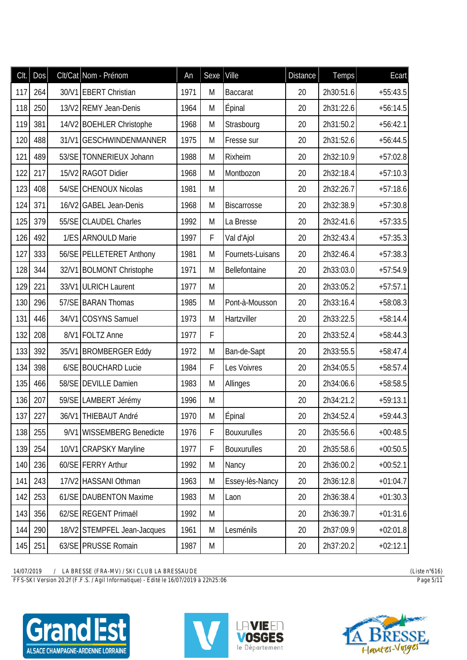| Clt. | Dos |       | Clt/Cat Nom - Prénom        | An   | Sexe        | Ville              | <b>Distance</b> | Temps     | Ecart      |
|------|-----|-------|-----------------------------|------|-------------|--------------------|-----------------|-----------|------------|
| 117  | 264 |       | 30/V1 EBERT Christian       | 1971 | M           | <b>Baccarat</b>    | 20              | 2h30:51.6 | $+55:43.5$ |
| 118  | 250 |       | 13/V2 REMY Jean-Denis       | 1964 | M           | Épinal             | 20              | 2h31:22.6 | $+56:14.5$ |
| 119  | 381 |       | 14/V2 BOEHLER Christophe    | 1968 | M           | Strasbourg         | 20              | 2h31:50.2 | $+56:42.1$ |
| 120  | 488 |       | 31/V1 GESCHWINDENMANNER     | 1975 | M           | Fresse sur         | 20              | 2h31:52.6 | $+56:44.5$ |
| 121  | 489 |       | 53/SE TONNERIEUX Johann     | 1988 | M           | Rixheim            | 20              | 2h32:10.9 | $+57:02.8$ |
| 122  | 217 |       | 15/V2 RAGOT Didier          | 1968 | M           | Montbozon          | 20              | 2h32:18.4 | $+57:10.3$ |
| 123  | 408 |       | 54/SE CHENOUX Nicolas       | 1981 | M           |                    | 20              | 2h32:26.7 | $+57:18.6$ |
| 124  | 371 |       | 16/V2 GABEL Jean-Denis      | 1968 | M           | <b>Biscarrosse</b> | 20              | 2h32:38.9 | $+57:30.8$ |
| 125  | 379 |       | 55/SE CLAUDEL Charles       | 1992 | M           | La Bresse          | 20              | 2h32:41.6 | $+57:33.5$ |
| 126  | 492 |       | 1/ES ARNOULD Marie          | 1997 | F           | Val d'Ajol         | 20              | 2h32:43.4 | $+57:35.3$ |
| 127  | 333 |       | 56/SE PELLETERET Anthony    | 1981 | M           | Fournets-Luisans   | 20              | 2h32:46.4 | $+57:38.3$ |
| 128  | 344 |       | 32/V1 BOLMONT Christophe    | 1971 | M           | Bellefontaine      | 20              | 2h33:03.0 | $+57:54.9$ |
| 129  | 221 |       | 33/V1 ULRICH Laurent        | 1977 | M           |                    | 20              | 2h33:05.2 | $+57:57.1$ |
| 130  | 296 |       | 57/SE BARAN Thomas          | 1985 | M           | Pont-à-Mousson     | 20              | 2h33:16.4 | $+58:08.3$ |
| 131  | 446 | 34/V1 | <b>COSYNS Samuel</b>        | 1973 | M           | Hartzviller        | 20              | 2h33:22.5 | $+58:14.4$ |
| 132  | 208 |       | 8/V1 FOLTZ Anne             | 1977 | F           |                    | 20              | 2h33:52.4 | $+58:44.3$ |
| 133  | 392 |       | 35/V1 BROMBERGER Eddy       | 1972 | M           | Ban-de-Sapt        | 20              | 2h33:55.5 | $+58:47.4$ |
| 134  | 398 |       | 6/SE BOUCHARD Lucie         | 1984 | F           | Les Voivres        | 20              | 2h34:05.5 | $+58:57.4$ |
| 135  | 466 |       | 58/SE DEVILLE Damien        | 1983 | M           | Allinges           | 20              | 2h34:06.6 | $+58:58.5$ |
| 136  | 207 |       | 59/SE LAMBERT Jérémy        | 1996 | M           |                    | 20              | 2h34:21.2 | $+59:13.1$ |
| 137  | 227 |       | 36/V1 THIEBAUT André        | 1970 | M           | Epinal             | 20              | 2h34:52.4 | $+59:44.3$ |
| 138  | 255 |       | 9/V1 WISSEMBERG Benedicte   | 1976 | F           | <b>Bouxurulles</b> | 20              | 2h35:56.6 | $+00:48.5$ |
| 139  | 254 |       | 10/V1 CRAPSKY Maryline      | 1977 | $\mathsf F$ | <b>Bouxurulles</b> | 20              | 2h35:58.6 | $+00:50.5$ |
| 140  | 236 |       | 60/SE FERRY Arthur          | 1992 | M           | Nancy              | 20              | 2h36:00.2 | $+00:52.1$ |
| 141  | 243 |       | 17/V2 HASSANI Othman        | 1963 | M           | Essey-lès-Nancy    | 20              | 2h36:12.8 | $+01:04.7$ |
| 142  | 253 |       | 61/SE DAUBENTON Maxime      | 1983 | M           | Laon               | 20              | 2h36:38.4 | $+01:30.3$ |
| 143  | 356 |       | 62/SE REGENT Primaël        | 1992 | M           |                    | 20              | 2h36:39.7 | $+01:31.6$ |
| 144  | 290 |       | 18/V2 STEMPFEL Jean-Jacques | 1961 | M           | Lesménils          | 20              | 2h37:09.9 | $+02:01.8$ |
| 145  | 251 |       | 63/SE PRUSSE Romain         | 1987 | M           |                    | 20              | 2h37:20.2 | $+02:12.1$ |

*FFS-SKI Version 20.2f (F.F.S. / Agil Informatique) - Edité le 16/07/2019 à 22h25:06 Page 5/11*





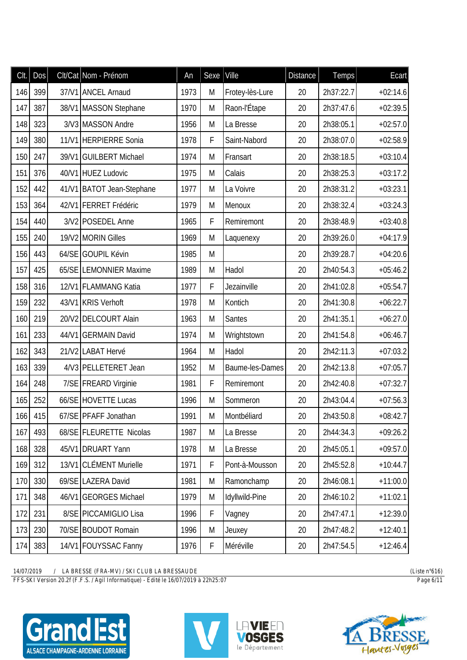| Clt. | Dos | Clt/Cat Nom - Prénom      | An   | Sexe   Ville |                 | <b>Distance</b> | Temps     | Ecart      |
|------|-----|---------------------------|------|--------------|-----------------|-----------------|-----------|------------|
| 146  | 399 | 37/V1 ANCEL Arnaud        | 1973 | Μ            | Frotey-lès-Lure | 20              | 2h37:22.7 | $+02:14.6$ |
| 147  | 387 | 38/V1 MASSON Stephane     | 1970 | M            | Raon-l'Étape    | 20              | 2h37:47.6 | $+02:39.5$ |
| 148  | 323 | 3/V3 MASSON Andre         | 1956 | M            | La Bresse       | 20              | 2h38:05.1 | $+02:57.0$ |
| 149  | 380 | 11/V1 HERPIERRE Sonia     | 1978 | F            | Saint-Nabord    | 20              | 2h38:07.0 | $+02:58.9$ |
| 150  | 247 | 39/V1 GUILBERT Michael    | 1974 | M            | Fransart        | 20              | 2h38:18.5 | $+03:10.4$ |
| 151  | 376 | 40/V1 HUEZ Ludovic        | 1975 | M            | Calais          | 20              | 2h38:25.3 | $+03:17.2$ |
| 152  | 442 | 41/V1 BATOT Jean-Stephane | 1977 | M            | La Voivre       | 20              | 2h38:31.2 | $+03:23.1$ |
| 153  | 364 | 42/V1   FERRET Frédéric   | 1979 | M            | Menoux          | 20              | 2h38:32.4 | $+03:24.3$ |
| 154  | 440 | 3/V2 POSEDEL Anne         | 1965 | F            | Remiremont      | 20              | 2h38:48.9 | $+03:40.8$ |
| 155  | 240 | 19/V2 MORIN Gilles        | 1969 | M            | Laquenexy       | 20              | 2h39:26.0 | $+04:17.9$ |
| 156  | 443 | 64/SE GOUPIL Kévin        | 1985 | M            |                 | 20              | 2h39:28.7 | $+04:20.6$ |
| 157  | 425 | 65/SE LEMONNIER Maxime    | 1989 | M            | Hadol           | 20              | 2h40:54.3 | $+05:46.2$ |
| 158  | 316 | 12/V1 FLAMMANG Katia      | 1977 | F            | Jezainville     | 20              | 2h41:02.8 | $+05:54.7$ |
| 159  | 232 | 43/V1 KRIS Verhoft        | 1978 | M            | Kontich         | 20              | 2h41:30.8 | $+06:22.7$ |
| 160  | 219 | 20/V2 DELCOURT Alain      | 1963 | M            | <b>Santes</b>   | 20              | 2h41:35.1 | $+06:27.0$ |
| 161  | 233 | 44/V1 GERMAIN David       | 1974 | M            | Wrightstown     | 20              | 2h41:54.8 | $+06:46.7$ |
| 162  | 343 | 21/V2 LABAT Hervé         | 1964 | M            | Hadol           | 20              | 2h42:11.3 | $+07:03.2$ |
| 163  | 339 | 4/V3 PELLETERET Jean      | 1952 | M            | Baume-les-Dames | 20              | 2h42:13.8 | $+07:05.7$ |
| 164  | 248 | 7/SE FREARD Virginie      | 1981 | F            | Remiremont      | 20              | 2h42:40.8 | $+07:32.7$ |
| 165  | 252 | 66/SE HOVETTE Lucas       | 1996 | M            | Sommeron        | 20              | 2h43:04.4 | $+07:56.3$ |
| 166  | 415 | 67/SE PFAFF Jonathan      | 1991 | Μ            | Montbéliard     | 20              | 2h43:50.8 | $+08:42.7$ |
| 167  | 493 | 68/SE FLEURETTE Nicolas   | 1987 | M            | La Bresse       | 20              | 2h44:34.3 | $+09:26.2$ |
| 168  | 328 | 45/V1 DRUART Yann         | 1978 | M            | La Bresse       | 20              | 2h45:05.1 | $+09:57.0$ |
| 169  | 312 | 13/V1 CLÉMENT Murielle    | 1971 | F            | Pont-à-Mousson  | 20              | 2h45:52.8 | $+10:44.7$ |
| 170  | 330 | 69/SE LAZERA David        | 1981 | M            | Ramonchamp      | 20              | 2h46:08.1 | $+11:00.0$ |
| 171  | 348 | 46/V1 GEORGES Michael     | 1979 | M            | Idyllwild-Pine  | 20              | 2h46:10.2 | $+11:02.1$ |
| 172  | 231 | 8/SE PICCAMIGLIO Lisa     | 1996 | $\mathsf F$  | Vagney          | 20              | 2h47:47.1 | $+12:39.0$ |
| 173  | 230 | 70/SE BOUDOT Romain       | 1996 | M            | Jeuxey          | 20              | 2h47:48.2 | $+12:40.1$ |
| 174  | 383 | 14/V1 FOUYSSAC Fanny      | 1976 | F            | Méréville       | 20              | 2h47:54.5 | $+12:46.4$ |

*FFS-SKI Version 20.2f (F.F.S. / Agil Informatique) - Edité le 16/07/2019 à 22h25:07 Page 6/11*







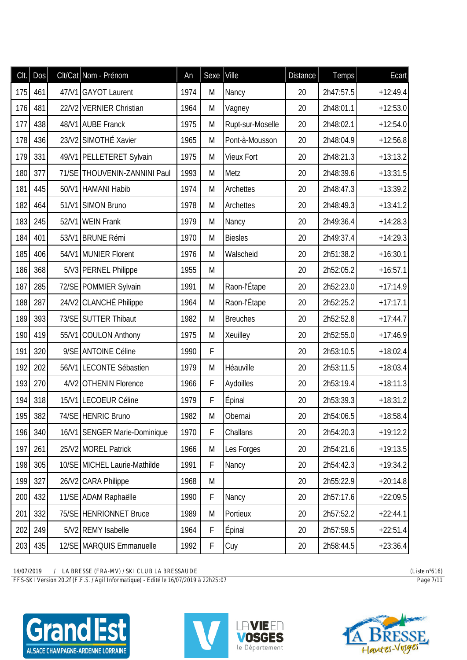| Clt. | <b>Dos</b> | Clt/Cat Nom - Prénom         | An   | Sexe | Ville             | <b>Distance</b> | <b>Temps</b> | Ecart      |
|------|------------|------------------------------|------|------|-------------------|-----------------|--------------|------------|
| 175  | 461        | 47/V1 GAYOT Laurent          | 1974 | M    | Nancy             | 20              | 2h47:57.5    | $+12:49.4$ |
| 176  | 481        | 22/V2 VERNIER Christian      | 1964 | M    | Vagney            | 20              | 2h48:01.1    | $+12:53.0$ |
| 177  | 438        | 48/V1 AUBE Franck            | 1975 | M    | Rupt-sur-Moselle  | 20              | 2h48:02.1    | $+12:54.0$ |
| 178  | 436        | 23/V2 SIMOTHÉ Xavier         | 1965 | M    | Pont-à-Mousson    | 20              | 2h48:04.9    | $+12:56.8$ |
| 179  | 331        | 49/V1 PELLETERET Sylvain     | 1975 | M    | <b>Vieux Fort</b> | 20              | 2h48:21.3    | $+13:13.2$ |
| 180  | 377        | 71/SE THOUVENIN-ZANNINI Paul | 1993 | M    | Metz              | 20              | 2h48:39.6    | $+13:31.5$ |
| 181  | 445        | 50/V1 HAMANI Habib           | 1974 | M    | Archettes         | 20              | 2h48:47.3    | $+13:39.2$ |
| 182  | 464        | 51/V1 SIMON Bruno            | 1978 | M    | Archettes         | 20              | 2h48:49.3    | $+13:41.2$ |
| 183  | 245        | 52/V1 WEIN Frank             | 1979 | M    | Nancy             | 20              | 2h49:36.4    | $+14:28.3$ |
| 184  | 401        | 53/V1 BRUNE Rémi             | 1970 | M    | <b>Biesles</b>    | 20              | 2h49:37.4    | $+14:29.3$ |
| 185  | 406        | 54/V1 MUNIER Florent         | 1976 | M    | Walscheid         | 20              | 2h51:38.2    | $+16:30.1$ |
| 186  | 368        | 5/V3 PERNEL Philippe         | 1955 | M    |                   | 20              | 2h52:05.2    | $+16:57.1$ |
| 187  | 285        | 72/SE POMMIER Sylvain        | 1991 | M    | Raon-l'Étape      | 20              | 2h52:23.0    | $+17:14.9$ |
| 188  | 287        | 24/V2 CLANCHÉ Philippe       | 1964 | M    | Raon-l'Étape      | 20              | 2h52:25.2    | $+17:17.1$ |
| 189  | 393        | 73/SE SUTTER Thibaut         | 1982 | M    | <b>Breuches</b>   | 20              | 2h52:52.8    | $+17:44.7$ |
| 190  | 419        | 55/V1 COULON Anthony         | 1975 | M    | Xeuilley          | 20              | 2h52:55.0    | $+17:46.9$ |
| 191  | 320        | 9/SE ANTOINE Céline          | 1990 | F    |                   | 20              | 2h53:10.5    | $+18:02.4$ |
| 192  | 202        | 56/V1 LECONTE Sébastien      | 1979 | M    | Héauville         | 20              | 2h53:11.5    | $+18:03.4$ |
| 193  | 270        | 4/V2 OTHENIN Florence        | 1966 | F    | Aydoilles         | 20              | 2h53:19.4    | $+18:11.3$ |
| 194  | 318        | 15/V1 LECOEUR Céline         | 1979 | F    | Épinal            | 20              | 2h53:39.3    | $+18:31.2$ |
|      | 195 382    | 74/SE HENRIC Bruno           | 1982 | Μ    | Obernai           | 20              | 2h54:06.5    | $+18:58.4$ |
| 196  | 340        | 16/V1 SENGER Marie-Dominique | 1970 | F    | Challans          | 20              | 2h54:20.3    | $+19:12.2$ |
| 197  | 261        | 25/V2 MOREL Patrick          | 1966 | M    | Les Forges        | 20              | 2h54:21.6    | $+19:13.5$ |
| 198  | 305        | 10/SE MICHEL Laurie-Mathilde | 1991 | F    | Nancy             | 20              | 2h54:42.3    | $+19:34.2$ |
| 199  | 327        | 26/V2 CARA Philippe          | 1968 | M    |                   | 20              | 2h55:22.9    | $+20:14.8$ |
| 200  | 432        | 11/SE ADAM Raphaëlle         | 1990 | F    | Nancy             | 20              | 2h57:17.6    | $+22:09.5$ |
| 201  | 332        | 75/SE HENRIONNET Bruce       | 1989 | M    | Portieux          | 20              | 2h57:52.2    | $+22:44.1$ |
| 202  | 249        | 5/V2 REMY Isabelle           | 1964 | F    | Épinal            | 20              | 2h57:59.5    | $+22:51.4$ |
| 203  | 435        | 12/SE MARQUIS Emmanuelle     | 1992 | F    | Cuy               | 20              | 2h58:44.5    | $+23:36.4$ |

*FFS-SKI Version 20.2f (F.F.S. / Agil Informatique) - Edité le 16/07/2019 à 22h25:07 Page 7/11*





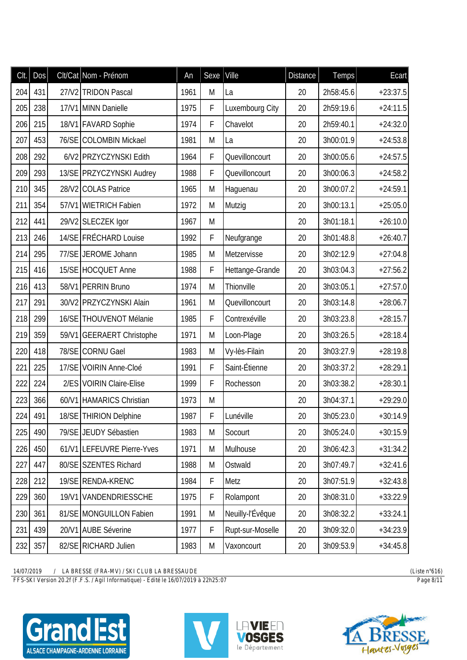| CIt. | <b>Dos</b> |       | Clt/Cat Nom - Prénom       | An   | Sexe        | Ville            | <b>Distance</b> | Temps     | Ecart      |
|------|------------|-------|----------------------------|------|-------------|------------------|-----------------|-----------|------------|
| 204  | 431        |       | 27/V2 TRIDON Pascal        | 1961 | M           | La               | 20              | 2h58:45.6 | $+23:37.5$ |
| 205  | 238        |       | 17/V1 MINN Danielle        | 1975 | $\mathsf F$ | Luxembourg City  | 20              | 2h59:19.6 | $+24:11.5$ |
| 206  | 215        |       | 18/V1 FAVARD Sophie        | 1974 | F           | Chavelot         | 20              | 2h59:40.1 | $+24:32.0$ |
| 207  | 453        |       | 76/SE COLOMBIN Mickael     | 1981 | M           | La               | 20              | 3h00:01.9 | $+24:53.8$ |
| 208  | 292        |       | 6/V2 PRZYCZYNSKI Edith     | 1964 | F           | Quevilloncourt   | 20              | 3h00:05.6 | $+24:57.5$ |
| 209  | 293        |       | 13/SE PRZYCZYNSKI Audrey   | 1988 | F           | Quevilloncourt   | 20              | 3h00:06.3 | $+24:58.2$ |
| 210  | 345        |       | 28/V2 COLAS Patrice        | 1965 | M           | Haguenau         | 20              | 3h00:07.2 | $+24:59.1$ |
| 211  | 354        | 57/V1 | <b>WIETRICH Fabien</b>     | 1972 | M           | Mutzig           | 20              | 3h00:13.1 | $+25:05.0$ |
| 212  | 441        |       | 29/V2 SLECZEK Igor         | 1967 | M           |                  | 20              | 3h01:18.1 | $+26:10.0$ |
| 213  | 246        |       | 14/SE FRÉCHARD Louise      | 1992 | F           | Neufgrange       | 20              | 3h01:48.8 | $+26:40.7$ |
| 214  | 295        |       | 77/SE JEROME Johann        | 1985 | M           | Metzervisse      | 20              | 3h02:12.9 | $+27:04.8$ |
| 215  | 416        |       | 15/SE HOCQUET Anne         | 1988 | F           | Hettange-Grande  | 20              | 3h03:04.3 | $+27:56.2$ |
| 216  | 413        |       | 58/V1 PERRIN Bruno         | 1974 | M           | Thionville       | 20              | 3h03:05.1 | $+27:57.0$ |
| 217  | 291        |       | 30/V2 PRZYCZYNSKI Alain    | 1961 | M           | Quevilloncourt   | 20              | 3h03:14.8 | $+28:06.7$ |
| 218  | 299        |       | 16/SE THOUVENOT Mélanie    | 1985 | F           | Contrexéville    | 20              | 3h03:23.8 | $+28:15.7$ |
| 219  | 359        |       | 59/V1 GEERAERT Christophe  | 1971 | M           | Loon-Plage       | 20              | 3h03:26.5 | $+28:18.4$ |
| 220  | 418        |       | 78/SE CORNU Gael           | 1983 | M           | Vy-lès-Filain    | 20              | 3h03:27.9 | $+28:19.8$ |
| 221  | 225        |       | 17/SE VOIRIN Anne-Cloé     | 1991 | F           | Saint-Étienne    | 20              | 3h03:37.2 | $+28:29.1$ |
| 222  | 224        |       | 2/ES VOIRIN Claire-Elise   | 1999 | F           | Rochesson        | 20              | 3h03:38.2 | $+28:30.1$ |
| 223  | 366        |       | 60/V1 HAMARICS Christian   | 1973 | M           |                  | 20              | 3h04:37.1 | $+29:29.0$ |
| 224  | 491        |       | 18/SE THIRION Delphine     | 1987 | F           | Lunéville        | 20              | 3h05:23.0 | $+30:14.9$ |
| 225  | 490        |       | 79/SE JEUDY Sébastien      | 1983 | M           | Socourt          | 20              | 3h05:24.0 | $+30:15.9$ |
| 226  | 450        |       | 61/V1 LEFEUVRE Pierre-Yves | 1971 | M           | Mulhouse         | 20              | 3h06:42.3 | $+31:34.2$ |
| 227  | 447        |       | 80/SE SZENTES Richard      | 1988 | M           | Ostwald          | 20              | 3h07:49.7 | $+32:41.6$ |
| 228  | 212        |       | 19/SE RENDA-KRENC          | 1984 | F           | Metz             | 20              | 3h07:51.9 | $+32:43.8$ |
| 229  | 360        |       | 19/V1 VANDENDRIESSCHE      | 1975 | F           | Rolampont        | 20              | 3h08:31.0 | $+33:22.9$ |
| 230  | 361        |       | 81/SE MONGUILLON Fabien    | 1991 | M           | Neuilly-l'Évêque | 20              | 3h08:32.2 | $+33:24.1$ |
| 231  | 439        |       | 20/V1 AUBE Séverine        | 1977 | $\mathsf F$ | Rupt-sur-Moselle | 20              | 3h09:32.0 | $+34:23.9$ |
| 232  | 357        |       | 82/SE RICHARD Julien       | 1983 | M           | Vaxoncourt       | 20              | 3h09:53.9 | $+34:45.8$ |

*FFS-SKI Version 20.2f (F.F.S. / Agil Informatique) - Edité le 16/07/2019 à 22h25:07 Page 8/11*





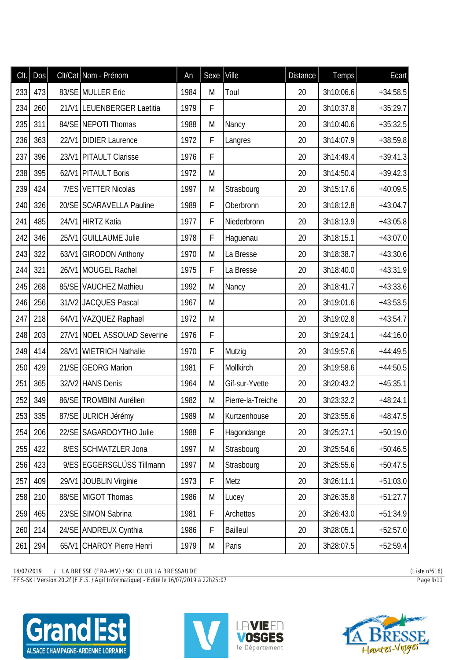| CIt. | DOS     |       | Clt/Cat Nom - Prénom        | An   | Sexe        | Ville             | <b>Distance</b> | Temps     | Ecart      |
|------|---------|-------|-----------------------------|------|-------------|-------------------|-----------------|-----------|------------|
| 233  | 473     |       | 83/SE MULLER Eric           | 1984 | M           | Toul              | 20              | 3h10:06.6 | $+34:58.5$ |
| 234  | 260     |       | 21/V1 LEUENBERGER Laetitia  | 1979 | F           |                   | 20              | 3h10:37.8 | $+35:29.7$ |
| 235  | 311     |       | 84/SE NEPOTI Thomas         | 1988 | M           | Nancy             | 20              | 3h10:40.6 | $+35:32.5$ |
| 236  | 363     |       | 22/V1 DIDIER Laurence       | 1972 | F           | Langres           | 20              | 3h14:07.9 | $+38:59.8$ |
| 237  | 396     |       | 23/V1 PITAULT Clarisse      | 1976 | F           |                   | 20              | 3h14:49.4 | $+39:41.3$ |
| 238  | 395     |       | 62/V1 PITAULT Boris         | 1972 | M           |                   | 20              | 3h14:50.4 | $+39:42.3$ |
| 239  | 424     |       | 7/ES VETTER Nicolas         | 1997 | M           | Strasbourg        | 20              | 3h15:17.6 | $+40:09.5$ |
| 240  | 326     |       | 20/SE SCARAVELLA Pauline    | 1989 | F           | Oberbronn         | 20              | 3h18:12.8 | $+43:04.7$ |
| 241  | 485     |       | 24/V1 HIRTZ Katia           | 1977 | F           | Niederbronn       | 20              | 3h18:13.9 | $+43:05.8$ |
| 242  | 346     |       | 25/V1 GUILLAUME Julie       | 1978 | F           | Haguenau          | 20              | 3h18:15.1 | $+43:07.0$ |
| 243  | 322     |       | 63/V1 GIRODON Anthony       | 1970 | M           | La Bresse         | 20              | 3h18:38.7 | $+43:30.6$ |
| 244  | 321     |       | 26/V1 MOUGEL Rachel         | 1975 | F           | La Bresse         | 20              | 3h18:40.0 | $+43:31.9$ |
| 245  | 268     |       | 85/SE VAUCHEZ Mathieu       | 1992 | M           | Nancy             | 20              | 3h18:41.7 | $+43:33.6$ |
| 246  | 256     |       | 31/V2 JACQUES Pascal        | 1967 | M           |                   | 20              | 3h19:01.6 | $+43:53.5$ |
| 247  | 218     |       | 64/V1 VAZQUEZ Raphael       | 1972 | M           |                   | 20              | 3h19:02.8 | $+43:54.7$ |
| 248  | 203     |       | 27/V1 NOEL ASSOUAD Severine | 1976 | F           |                   | 20              | 3h19:24.1 | $+44:16.0$ |
| 249  | 414     | 28/V1 | <b>WIETRICH Nathalie</b>    | 1970 | F           | Mutzig            | 20              | 3h19:57.6 | $+44:49.5$ |
| 250  | 429     |       | 21/SE GEORG Marion          | 1981 | $\mathsf F$ | Mollkirch         | 20              | 3h19:58.6 | $+44:50.5$ |
| 251  | 365     |       | 32/V2 HANS Denis            | 1964 | M           | Gif-sur-Yvette    | 20              | 3h20:43.2 | $+45:35.1$ |
| 252  | 349     |       | 86/SE TROMBINI Aurélien     | 1982 | M           | Pierre-la-Treiche | 20              | 3h23:32.2 | $+48:24.1$ |
|      | 253 335 |       | 87/SE ULRICH Jérémy         | 1989 | M           | Kurtzenhouse      | 20              | 3h23:55.6 | $+48:47.5$ |
| 254  | 206     |       | 22/SE SAGARDOYTHO Julie     | 1988 | F           | Hagondange        | 20              | 3h25:27.1 | $+50:19.0$ |
| 255  | 422     |       | 8/ES SCHMATZLER Jona        | 1997 | M           | Strasbourg        | 20              | 3h25:54.6 | $+50:46.5$ |
| 256  | 423     |       | 9/ES EGGERSGLÜSS Tillmann   | 1997 | M           | Strasbourg        | 20              | 3h25:55.6 | $+50:47.5$ |
| 257  | 409     |       | 29/V1 JOUBLIN Virginie      | 1973 | $\mathsf F$ | Metz              | 20              | 3h26:11.1 | $+51:03.0$ |
| 258  | 210     |       | 88/SE MIGOT Thomas          | 1986 | M           | Lucey             | 20              | 3h26:35.8 | $+51:27.7$ |
| 259  | 465     |       | 23/SE SIMON Sabrina         | 1981 | $\mathsf F$ | Archettes         | 20              | 3h26:43.0 | $+51:34.9$ |
| 260  | 214     |       | 24/SE ANDREUX Cynthia       | 1986 | F           | <b>Bailleul</b>   | 20              | 3h28:05.1 | $+52:57.0$ |
| 261  | 294     |       | 65/V1 CHAROY Pierre Henri   | 1979 | M           | Paris             | 20              | 3h28:07.5 | $+52:59.4$ |

 $\frac{14/07/2019}{FFS-SKI\ Version\ 20.2f(F.F.S. / Agil\ Information\ 20.48RESSAUDE)}$ 









(Liste  $n^{\circ}616$ )  $Page\ 9/11$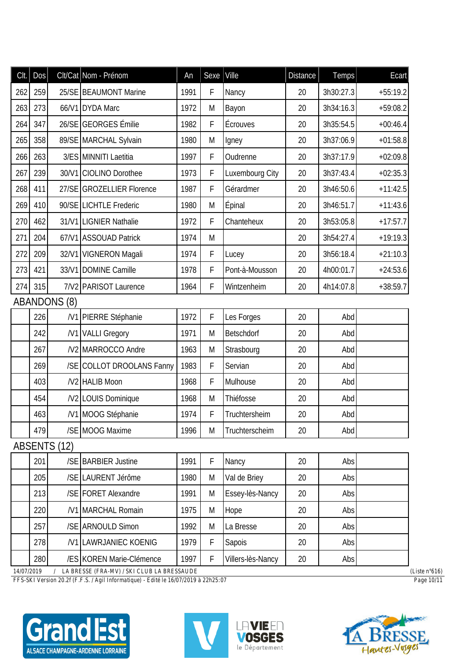| Clt. | <b>Dos</b> |                     | Clt/Cat Nom - Prénom      | An   | Sexe        | Ville             | <b>Distance</b> | <b>Temps</b> | Ecart      |
|------|------------|---------------------|---------------------------|------|-------------|-------------------|-----------------|--------------|------------|
| 262  | 259        |                     | 25/SE BEAUMONT Marine     | 1991 | F           | Nancy             | 20              | 3h30:27.3    | $+55:19.2$ |
| 263  | 273        |                     | 66/V1 DYDA Marc           | 1972 | M           | Bayon             | 20              | 3h34:16.3    | $+59:08.2$ |
| 264  | 347        |                     | 26/SE GEORGES Émilie      | 1982 | $\mathsf F$ | Écrouves          | 20              | 3h35:54.5    | $+00:46.4$ |
| 265  | 358        |                     | 89/SE MARCHAL Sylvain     | 1980 | M           | Igney             | 20              | 3h37:06.9    | $+01:58.8$ |
| 266  | 263        |                     | 3/ES MINNITI Laetitia     | 1997 | F           | Oudrenne          | 20              | 3h37:17.9    | $+02:09.8$ |
| 267  | 239        |                     | 30/V1 CIOLINO Dorothee    | 1973 | F           | Luxembourg City   | 20              | 3h37:43.4    | $+02:35.3$ |
| 268  | 411        |                     | 27/SE GROZELLIER Florence | 1987 | F           | Gérardmer         | 20              | 3h46:50.6    | $+11:42.5$ |
| 269  | 410        |                     | 90/SE LICHTLE Frederic    | 1980 | M           | Épinal            | 20              | 3h46:51.7    | $+11:43.6$ |
| 270  | 462        |                     | 31/V1 LIGNIER Nathalie    | 1972 | F           | Chanteheux        | 20              | 3h53:05.8    | $+17:57.7$ |
| 271  | 204        |                     | 67/V1 ASSOUAD Patrick     | 1974 | M           |                   | 20              | 3h54:27.4    | $+19:19.3$ |
| 272  | 209        |                     | 32/V1 VIGNERON Magali     | 1974 | F           | Lucey             | 20              | 3h56:18.4    | $+21:10.3$ |
| 273  | 421        |                     | 33/V1 DOMINE Camille      | 1978 | F           | Pont-à-Mousson    | 20              | 4h00:01.7    | $+24:53.6$ |
| 274  | 315        |                     | 7/V2 PARISOT Laurence     | 1964 | F           | Wintzenheim       | 20              | 4h14:07.8    | $+38:59.7$ |
|      |            | <b>ABANDONS (8)</b> |                           |      |             |                   |                 |              |            |
|      | 226        |                     | /V1 PIERRE Stéphanie      | 1972 | F           | Les Forges        | 20              | Abd          |            |
|      | 242        |                     | /V1 VALLI Gregory         | 1971 | M           | Betschdorf        | 20              | Abd          |            |
|      | 267        |                     | /V2 MARROCCO Andre        | 1963 | M           | Strasbourg        | 20              | Abd          |            |
|      | 269        |                     | /SE COLLOT DROOLANS Fanny | 1983 | F           | Servian           | 20              | Abd          |            |
|      | 403        |                     | /V2 HALIB Moon            | 1968 | F           | Mulhouse          | 20              | Abd          |            |
|      | 454        |                     | /V2 LOUIS Dominique       | 1968 | M           | Thiéfosse         | 20              | Abd          |            |
|      | 463        |                     | /V1 MOOG Stéphanie        | 1974 | F           | Truchtersheim     | 20              | Abd          |            |
|      | 479        |                     | /SE MOOG Maxime           | 1996 | M           | Truchterscheim    | 20              | Abd          |            |
|      |            | <b>ABSENTS (12)</b> |                           |      |             |                   |                 |              |            |
|      | 201        |                     | /SE BARBIER Justine       | 1991 | F           | Nancy             | 20              | Abs          |            |
|      | 205        |                     | /SE LAURENT Jérôme        | 1980 | M           | Val de Briey      | 20              | Abs          |            |
|      | 213        |                     | /SE FORET Alexandre       | 1991 | M           | Essey-lès-Nancy   | 20              | Abs          |            |
|      | 220        |                     | /V1 MARCHAL Romain        | 1975 | M           | Hope              | 20              | Abs          |            |
|      | 257        |                     | /SE ARNOULD Simon         | 1992 | M           | La Bresse         | 20              | Abs          |            |
|      | 278        |                     | /V1 LAWRJANIEC KOENIG     | 1979 | F           | Sapois            | 20              | Abs          |            |
|      | 280        |                     | /ES KOREN Marie-Clémence  | 1997 | F           | Villers-lès-Nancy | 20              | Abs          |            |

FFS-SKI Version 20.2f (F.F.S. / Agil Informatique) - Edité le 16/07/2019 à 22h25:07









(Liste  $n^{\circ}616$ )  $Page 10/11$